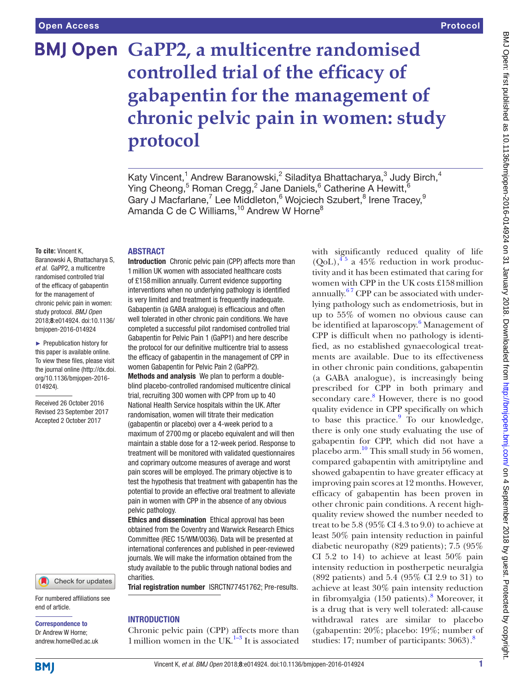# **BMJ Open GaPP2, a multicentre randomised controlled trial of the efficacy of gabapentin for the management of chronic pelvic pain in women: study protocol**

#### **To cite:** Vincent K,

Baranowski A, Bhattacharya S, *et al*. GaPP2, a multicentre randomised controlled trial of the efficacy of gabapentin for the management of chronic pelvic pain in women: study protocol. *BMJ Open* 2018;8:e014924. doi:10.1136/ bmjopen-2016-014924

► Prepublication history for this paper is available online. To view these files, please visit the journal online [\(http://dx.doi.](http://dx.doi.org/10.1136/bmjopen-2016-014924) [org/10.1136/bmjopen-2016-](http://dx.doi.org/10.1136/bmjopen-2016-014924) [014924\)](http://dx.doi.org/10.1136/bmjopen-2016-014924).

Received 26 October 2016 Revised 23 September 2017 Accepted 2 October 2017



For numbered affiliations see end of article.

Correspondence to

Dr Andrew W Horne; andrew.horne@ed.ac.uk

# **ABSTRACT**

Introduction Chronic pelvic pain (CPP) affects more than 1million UK women with associated healthcare costs of £158million annually. Current evidence supporting interventions when no underlying pathology is identified is very limited and treatment is frequently inadequate. Gabapentin (a GABA analogue) is efficacious and often well tolerated in other chronic pain conditions. We have completed a successful pilot randomised controlled trial Gabapentin for Pelvic Pain 1 (GaPP1) and here describe the protocol for our definitive multicentre trial to assess the efficacy of gabapentin in the management of CPP in women Gabapentin for Pelvic Pain 2 (GaPP2).

Methods and analysis We plan to perform a doubleblind placebo-controlled randomised multicentre clinical trial, recruiting 300 women with CPP from up to 40 National Health Service hospitals within the UK. After randomisation, women will titrate their medication (gabapentin or placebo) over a 4-week period to a maximum of 2700mg or placebo equivalent and will then maintain a stable dose for a 12-week period. Response to treatment will be monitored with validated questionnaires and coprimary outcome measures of average and worst pain scores will be employed. The primary objective is to test the hypothesis that treatment with gabapentin has the potential to provide an effective oral treatment to alleviate pain in women with CPP in the absence of any obvious pelvic pathology.

Ethics and dissemination Ethical approval has been obtained from the Coventry and Warwick Research Ethics Committee (REC 15/WM/0036). Data will be presented at international conferences and published in peer-reviewed journals. We will make the information obtained from the study available to the public through national bodies and charities.

Trial registration number [ISRCTN77451762; Pre-results](ISRCTN77451762).

#### **INTRODUCTION**

Chronic pelvic pain (CPP) affects more than 1 million women in the UK $^{1-3}$  It is associated with significantly reduced quality of life  $(QoL),$ <sup>45</sup> a 45% reduction in work productivity and it has been estimated that caring for women with CPP in the UK costs £158million annually.<sup>67</sup> CPP can be associated with underlying pathology such as endometriosis, but in up to 55% of women no obvious cause can be identified at laparoscopy.<sup>[6](#page-7-2)</sup> Management of CPP is difficult when no pathology is identified, as no established gynaecological treatments are available. Due to its effectiveness in other chronic pain conditions, gabapentin (a GABA analogue), is increasingly being prescribed for CPP in both primary and secondary care.<sup>[8](#page-7-3)</sup> However, there is no good quality evidence in CPP specifically on which to base this practice.<sup>9</sup> To our knowledge, there is only one study evaluating the use of gabapentin for CPP, which did not have a placebo arm.<sup>10</sup> This small study in 56 women, compared gabapentin with amitriptyline and showed gabapentin to have greater efficacy at improving pain scores at 12 months. However, efficacy of gabapentin has been proven in other chronic pain conditions. A recent highquality review showed the number needed to treat to be 5.8 (95% CI 4.3 to 9.0) to achieve at least 50% pain intensity reduction in painful diabetic neuropathy (829 patients); 7.5 (95% CI 5.2 to 14) to achieve at least 50% pain intensity reduction in postherpetic neuralgia (892 patients) and 5.4 (95% CI 2.9 to 31) to achieve at least 30% pain intensity reduction in fibromyalgia (150 patients).<sup>[8](#page-7-3)</sup> Moreover, it is a drug that is very well tolerated: all-cause withdrawal rates are similar to placebo (gabapentin: 20%; placebo: 19%; number of studies: 17; number of participants: 3063).<sup>8</sup>

Katy Vincent,<sup>1</sup> Andrew Baranowski,<sup>2</sup> Siladitya Bhattacharya,<sup>3</sup> Judy Birch,<sup>4</sup> Ying Cheong,<sup>5</sup> Roman Cregg,<sup>2</sup> Jane Daniels,<sup>6</sup> Catherine A Hewitt,<sup>6</sup> Gary J Macfarlane,<sup>7</sup> Lee Middleton,<sup>6</sup> Wojciech Szubert,<sup>8</sup> Irene Tracey,<sup>9</sup> Amanda C de C Williams, $^{10}$  Andrew W Horne $^8$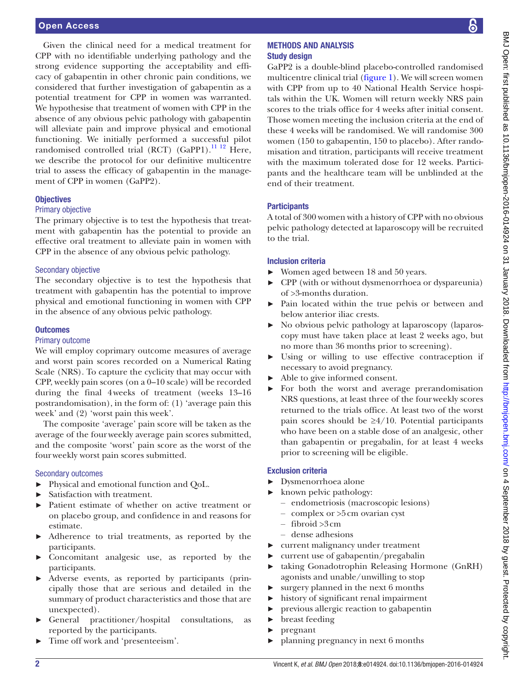#### Open Access

Given the clinical need for a medical treatment for CPP with no identifiable underlying pathology and the strong evidence supporting the acceptability and efficacy of gabapentin in other chronic pain conditions, we considered that further investigation of gabapentin as a potential treatment for CPP in women was warranted. We hypothesise that treatment of women with CPP in the absence of any obvious pelvic pathology with gabapentin will alleviate pain and improve physical and emotional functioning. We initially performed a successful pilot randomised controlled trial (RCT) (GaPP1).<sup>[11 12](#page-7-6)</sup> Here, we describe the protocol for our definitive multicentre trial to assess the efficacy of gabapentin in the management of CPP in women (GaPP2).

#### **Objectives**

#### Primary objective

The primary objective is to test the hypothesis that treatment with gabapentin has the potential to provide an effective oral treatment to alleviate pain in women with CPP in the absence of any obvious pelvic pathology.

#### Secondary objective

The secondary objective is to test the hypothesis that treatment with gabapentin has the potential to improve physical and emotional functioning in women with CPP in the absence of any obvious pelvic pathology.

#### **Outcomes**

#### Primary outcome

We will employ coprimary outcome measures of average and worst pain scores recorded on a Numerical Rating Scale (NRS). To capture the cyclicity that may occur with CPP, weekly pain scores (on a 0–10 scale) will be recorded during the final 4weeks of treatment (weeks 13–16 postrandomisation), in the form of: (1) 'average pain this week' and (2) 'worst pain this week'.

The composite 'average' pain score will be taken as the average of the fourweekly average pain scores submitted, and the composite 'worst' pain score as the worst of the fourweekly worst pain scores submitted.

#### Secondary outcomes

- ► Physical and emotional function and QoL.
- ► Satisfaction with treatment.
- ► Patient estimate of whether on active treatment or on placebo group, and confidence in and reasons for estimate.
- ► Adherence to trial treatments, as reported by the participants.
- ► Concomitant analgesic use, as reported by the participants.
- Adverse events, as reported by participants (principally those that are serious and detailed in the summary of product characteristics and those that are unexpected).
- General practitioner/hospital consultations, as reported by the participants.
- ► Time off work and 'presenteeism'.

கெ

#### Methods and analysis Study design

GaPP2 is a double-blind placebo-controlled randomised multicentre clinical trial ([figure](#page-2-0) 1). We will screen women with CPP from up to 40 National Health Service hospitals within the UK. Women will return weekly NRS pain scores to the trials office for 4 weeks after initial consent. Those women meeting the inclusion criteria at the end of these 4 weeks will be randomised. We will randomise 300 women (150 to gabapentin, 150 to placebo). After randomisation and titration, participants will receive treatment with the maximum tolerated dose for 12 weeks. Participants and the healthcare team will be unblinded at the end of their treatment.

#### **Participants**

A total of 300 women with a history of CPP with no obvious pelvic pathology detected at laparoscopy will be recruited to the trial.

#### Inclusion criteria

- ► Women aged between 18 and 50 years.
- ► CPP (with or without dysmenorrhoea or dyspareunia) of >3-months duration.
- Pain located within the true pelvis or between and below anterior iliac crests.
- ► No obvious pelvic pathology at laparoscopy (laparoscopy must have taken place at least 2 weeks ago, but no more than 36 months prior to screening).
- Using or willing to use effective contraception if necessary to avoid pregnancy.
- Able to give informed consent.
- For both the worst and average prerandomisation NRS questions, at least three of the fourweekly scores returned to the trials office. At least two of the worst pain scores should be  $\geq 4/10$ . Potential participants who have been on a stable dose of an analgesic, other than gabapentin or pregabalin, for at least 4 weeks prior to screening will be eligible.

#### Exclusion criteria

- ► Dysmenorrhoea alone
- ► known pelvic pathology:
	- endometriosis (macroscopic lesions)
	- complex or >5cm ovarian cyst
	- fibroid >3cm
	- dense adhesions
- ► current malignancy under treatment
- ► current use of gabapentin/pregabalin
- taking Gonadotrophin Releasing Hormone (GnRH) agonists and unable/unwilling to stop
- ► surgery planned in the next 6 months
- ► history of significant renal impairment
- previous allergic reaction to gabapentin
- breast feeding
- ► pregnant
- ► planning pregnancy in next 6 months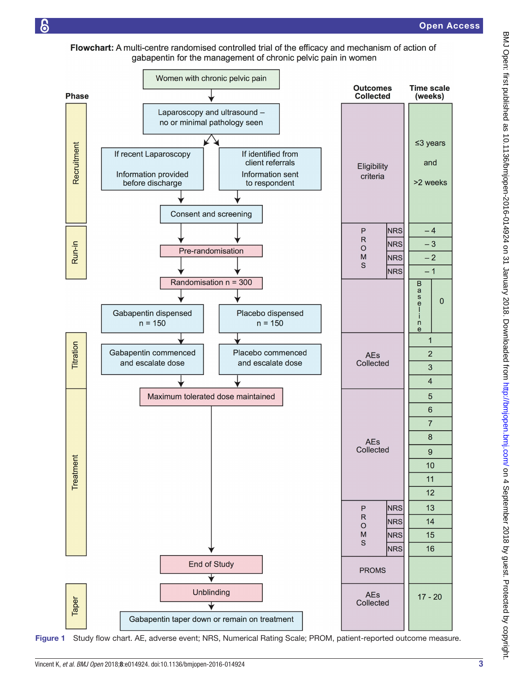Flowchart: A multi-centre randomised controlled trial of the efficacy and mechanism of action of gabapentin for the management of chronic pelvic pain in women

န



<span id="page-2-0"></span>Figure 1 Study flow chart. AE, adverse event; NRS, Numerical Rating Scale; PROM, patient-reported outcome measure.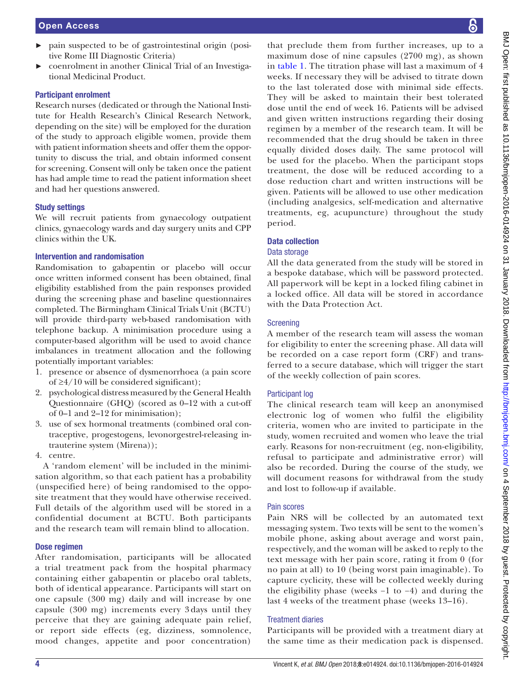- ► pain suspected to be of gastrointestinal origin (positive Rome III Diagnostic Criteria)
- ► coenrolment in another Clinical Trial of an Investigational Medicinal Product.

#### Participant enrolment

Research nurses (dedicated or through the National Institute for Health Research's Clinical Research Network, depending on the site) will be employed for the duration of the study to approach eligible women, provide them with patient information sheets and offer them the opportunity to discuss the trial, and obtain informed consent for screening. Consent will only be taken once the patient has had ample time to read the patient information sheet and had her questions answered.

#### Study settings

We will recruit patients from gynaecology outpatient clinics, gynaecology wards and day surgery units and CPP clinics within the UK.

#### Intervention and randomisation

Randomisation to gabapentin or placebo will occur once written informed consent has been obtained, final eligibility established from the pain responses provided during the screening phase and baseline questionnaires completed. The Birmingham Clinical Trials Unit (BCTU) will provide third-party web-based randomisation with telephone backup. A minimisation procedure using a computer-based algorithm will be used to avoid chance imbalances in treatment allocation and the following potentially important variables:

- 1. presence or absence of dysmenorrhoea (a pain score of ≥4/10 will be considered significant);
- 2. psychological distress measured by the General Health Questionnaire (GHQ) (scored as 0–12 with a cut-off of 0–1 and 2–12 for minimisation);
- 3. use of sex hormonal treatments (combined oral contraceptive, progestogens, levonorgestrel-releasing intrauterine system (Mirena));
- 4. centre.

A 'random element' will be included in the minimisation algorithm, so that each patient has a probability (unspecified here) of being randomised to the opposite treatment that they would have otherwise received. Full details of the algorithm used will be stored in a confidential document at BCTU. Both participants and the research team will remain blind to allocation.

#### Dose regimen

After randomisation, participants will be allocated a trial treatment pack from the hospital pharmacy containing either gabapentin or placebo oral tablets, both of identical appearance. Participants will start on one capsule (300 mg) daily and will increase by one capsule (300 mg) increments every 3 days until they perceive that they are gaining adequate pain relief, or report side effects (eg, dizziness, somnolence, mood changes, appetite and poor concentration)

that preclude them from further increases, up to a maximum dose of nine capsules (2700 mg), as shown in [table](#page-4-0) 1. The titration phase will last a maximum of 4 weeks. If necessary they will be advised to titrate down to the last tolerated dose with minimal side effects. They will be asked to maintain their best tolerated dose until the end of week 16. Patients will be advised and given written instructions regarding their dosing regimen by a member of the research team. It will be recommended that the drug should be taken in three equally divided doses daily. The same protocol will be used for the placebo. When the participant stops treatment, the dose will be reduced according to a dose reduction chart and written instructions will be given. Patients will be allowed to use other medication (including analgesics, self-medication and alternative treatments, eg, acupuncture) throughout the study period.

#### Data collection

#### Data storage

All the data generated from the study will be stored in a bespoke database, which will be password protected. All paperwork will be kept in a locked filing cabinet in a locked office. All data will be stored in accordance with the Data Protection Act.

#### Screening

A member of the research team will assess the woman for eligibility to enter the screening phase. All data will be recorded on a case report form (CRF) and transferred to a secure database, which will trigger the start of the weekly collection of pain scores.

#### Participant log

The clinical research team will keep an anonymised electronic log of women who fulfil the eligibility criteria, women who are invited to participate in the study, women recruited and women who leave the trial early. Reasons for non-recruitment (eg, non-eligibility, refusal to participate and administrative error) will also be recorded. During the course of the study, we will document reasons for withdrawal from the study and lost to follow-up if available.

# Pain scores

Pain NRS will be collected by an automated text messaging system. Two texts will be sent to the women's mobile phone, asking about average and worst pain, respectively, and the woman will be asked to reply to the text message with her pain score, rating it from 0 (for no pain at all) to 10 (being worst pain imaginable). To capture cyclicity, these will be collected weekly during the eligibility phase (weeks −1 to −4) and during the last 4 weeks of the treatment phase (weeks 13–16).

# Treatment diaries

Participants will be provided with a treatment diary at the same time as their medication pack is dispensed.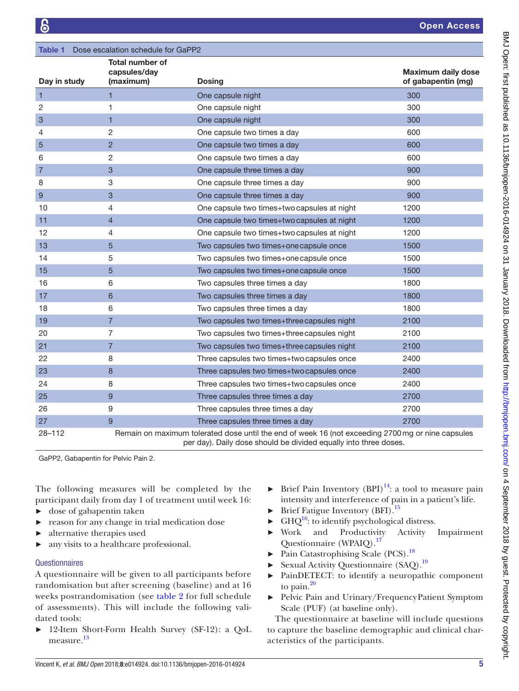<span id="page-4-0"></span>

| <b>Table 1</b> Dose escalation schedule for GaPP2 |                                                     |                                                                                                                                                                       |                                                 |  |  |  |  |  |
|---------------------------------------------------|-----------------------------------------------------|-----------------------------------------------------------------------------------------------------------------------------------------------------------------------|-------------------------------------------------|--|--|--|--|--|
| Day in study                                      | <b>Total number of</b><br>capsules/day<br>(maximum) | Dosing                                                                                                                                                                | <b>Maximum daily dose</b><br>of gabapentin (mg) |  |  |  |  |  |
| $\mathbf{1}$                                      | $\mathbf{1}$                                        | One capsule night                                                                                                                                                     | 300                                             |  |  |  |  |  |
| 2                                                 | 1                                                   | One capsule night                                                                                                                                                     | 300                                             |  |  |  |  |  |
| 3                                                 | $\mathbf{1}$                                        | One capsule night                                                                                                                                                     | 300                                             |  |  |  |  |  |
| 4                                                 | 2                                                   | One capsule two times a day                                                                                                                                           | 600                                             |  |  |  |  |  |
| 5                                                 | $\overline{c}$                                      | One capsule two times a day                                                                                                                                           | 600                                             |  |  |  |  |  |
| 6                                                 | $\overline{c}$                                      | One capsule two times a day                                                                                                                                           | 600                                             |  |  |  |  |  |
| $\overline{7}$                                    | 3                                                   | One capsule three times a day                                                                                                                                         | 900                                             |  |  |  |  |  |
| 8                                                 | 3                                                   | One capsule three times a day                                                                                                                                         | 900                                             |  |  |  |  |  |
| 9                                                 | 3                                                   | One capsule three times a day                                                                                                                                         | 900                                             |  |  |  |  |  |
| 10                                                | 4                                                   | One capsule two times+two capsules at night                                                                                                                           | 1200                                            |  |  |  |  |  |
| 11                                                | 4                                                   | One capsule two times+two capsules at night                                                                                                                           | 1200                                            |  |  |  |  |  |
| 12                                                | 4                                                   | One capsule two times+two capsules at night                                                                                                                           | 1200                                            |  |  |  |  |  |
| 13                                                | 5                                                   | Two capsules two times+one capsule once                                                                                                                               | 1500                                            |  |  |  |  |  |
| 14                                                | 5                                                   | Two capsules two times+one capsule once                                                                                                                               | 1500                                            |  |  |  |  |  |
| 15                                                | 5                                                   | Two capsules two times+one capsule once                                                                                                                               | 1500                                            |  |  |  |  |  |
| 16                                                | 6                                                   | Two capsules three times a day                                                                                                                                        | 1800                                            |  |  |  |  |  |
| 17                                                | 6                                                   | Two capsules three times a day                                                                                                                                        | 1800                                            |  |  |  |  |  |
| 18                                                | 6                                                   | Two capsules three times a day                                                                                                                                        | 1800                                            |  |  |  |  |  |
| 19                                                | $\overline{7}$                                      | Two capsules two times+three capsules night                                                                                                                           | 2100                                            |  |  |  |  |  |
| 20                                                | 7                                                   | Two capsules two times+three capsules night                                                                                                                           | 2100                                            |  |  |  |  |  |
| 21                                                | $\overline{7}$                                      | Two capsules two times+three capsules night                                                                                                                           | 2100                                            |  |  |  |  |  |
| 22                                                | 8                                                   | Three capsules two times+two capsules once                                                                                                                            | 2400                                            |  |  |  |  |  |
| 23                                                | 8                                                   | Three capsules two times+two capsules once                                                                                                                            | 2400                                            |  |  |  |  |  |
| 24                                                | 8                                                   | Three capsules two times+two capsules once                                                                                                                            | 2400                                            |  |  |  |  |  |
| 25                                                | 9                                                   | Three capsules three times a day                                                                                                                                      | 2700                                            |  |  |  |  |  |
| 26                                                | 9                                                   | Three capsules three times a day                                                                                                                                      | 2700                                            |  |  |  |  |  |
| 27                                                | 9                                                   | Three capsules three times a day                                                                                                                                      | 2700                                            |  |  |  |  |  |
| $28 - 112$                                        |                                                     | Remain on maximum tolerated dose until the end of week 16 (not exceeding 2700 mg or nine capsules<br>per day). Daily dose should be divided equally into three doses. |                                                 |  |  |  |  |  |

GaPP2, Gabapentin for Pelvic Pain 2.

The following measures will be completed by the participant daily from day 1 of treatment until week 16:

- ► dose of gabapentin taken
- ► reason for any change in trial medication dose
- alternative therapies used
- ► any visits to a healthcare professional.

#### **Questionnaires**

A questionnaire will be given to all participants before randomisation but after screening (baseline) and at 16 weeks postrandomisation (see [table](#page-5-0) 2 for full schedule of assessments). This will include the following validated tools:

► 12-Item Short-Form Health Survey (SF-12): a QoL measure.<sup>[13](#page-7-7)</sup>

- ► Brief Pain Inventory (BPI)<sup>[14](#page-7-8)</sup>: a tool to measure pain intensity and interference of pain in a patient's life.
- Brief Fatigue Inventory (BFI).<sup>[15](#page-7-9)</sup>
- $\blacktriangleright$  GHQ<sup>16</sup>: to identify psychological distress.
- ► Work and Productivity Activity Impairment Questionnaire (WPAIQ).<sup>17</sup>
- Pain Catastrophising Scale (PCS).<sup>18</sup>
- Sexual Activity Questionnaire (SAQ).<sup>19</sup>
- ► PainDETECT: to identify a neuropathic component to pain. $^{20}$  $^{20}$  $^{20}$
- ► Pelvic Pain and Urinary/FrequencyPatient Symptom Scale (PUF) (at baseline only).

The questionnaire at baseline will include questions to capture the baseline demographic and clinical characteristics of the participants.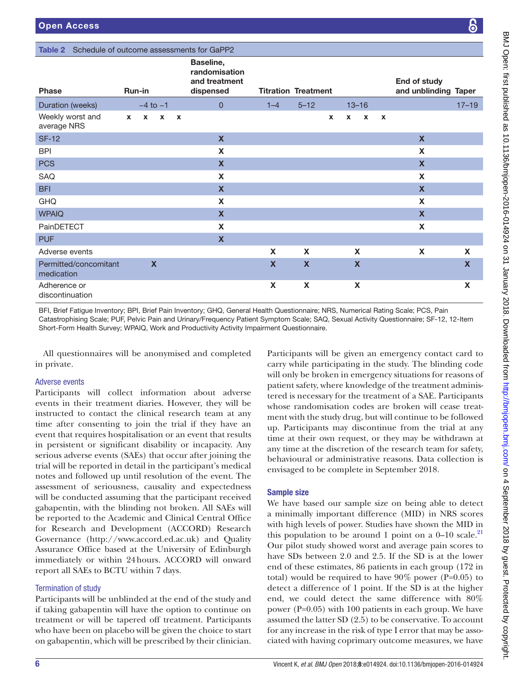#### Table 2 Sched

<span id="page-5-0"></span>

| <b>Table 2</b> Schedule of outcome assessments for GaPP2                                                                                                                                                                                                                                                                                                                   |              |                           |              |              |                                                          |                            |                           |              |             |              |              |                                      |             |
|----------------------------------------------------------------------------------------------------------------------------------------------------------------------------------------------------------------------------------------------------------------------------------------------------------------------------------------------------------------------------|--------------|---------------------------|--------------|--------------|----------------------------------------------------------|----------------------------|---------------------------|--------------|-------------|--------------|--------------|--------------------------------------|-------------|
| <b>Phase</b>                                                                                                                                                                                                                                                                                                                                                               | Run-in       |                           |              |              | Baseline,<br>randomisation<br>and treatment<br>dispensed | <b>Titration Treatment</b> |                           |              |             |              |              | End of study<br>and unblinding Taper |             |
| Duration (weeks)                                                                                                                                                                                                                                                                                                                                                           |              | $-4$ to $-1$              |              |              | $\mathbf{0}$                                             | $1 - 4$                    | $5 - 12$                  |              | $13 - 16$   |              |              |                                      | $17 - 19$   |
| Weekly worst and<br>average NRS                                                                                                                                                                                                                                                                                                                                            | $\mathbf{x}$ | $\mathbf{x}$              | $\mathbf{x}$ | $\mathbf{x}$ |                                                          |                            |                           | $\mathbf{x}$ | X           | $\mathbf{x}$ | $\mathbf{x}$ |                                      |             |
| <b>SF-12</b>                                                                                                                                                                                                                                                                                                                                                               |              |                           |              |              | $\mathbf{x}$                                             |                            |                           |              |             |              |              | $\mathbf{x}$                         |             |
| <b>BPI</b>                                                                                                                                                                                                                                                                                                                                                                 |              |                           |              |              | X                                                        |                            |                           |              |             |              |              | X                                    |             |
| <b>PCS</b>                                                                                                                                                                                                                                                                                                                                                                 |              |                           |              |              | $\boldsymbol{\mathsf{X}}$                                |                            |                           |              |             |              |              | $\boldsymbol{X}$                     |             |
| <b>SAQ</b>                                                                                                                                                                                                                                                                                                                                                                 |              |                           |              |              | X                                                        |                            |                           |              |             |              |              | X                                    |             |
| <b>BFI</b>                                                                                                                                                                                                                                                                                                                                                                 |              |                           |              |              | $\mathbf x$                                              |                            |                           |              |             |              |              | $\mathbf{x}$                         |             |
| <b>GHQ</b>                                                                                                                                                                                                                                                                                                                                                                 |              |                           |              |              | X                                                        |                            |                           |              |             |              |              | X                                    |             |
| <b>WPAIQ</b>                                                                                                                                                                                                                                                                                                                                                               |              |                           |              |              | $\boldsymbol{\mathsf{X}}$                                |                            |                           |              |             |              |              | $\boldsymbol{X}$                     |             |
| PainDETECT                                                                                                                                                                                                                                                                                                                                                                 |              |                           |              |              | $\boldsymbol{\mathsf{X}}$                                |                            |                           |              |             |              |              | X                                    |             |
| <b>PUF</b>                                                                                                                                                                                                                                                                                                                                                                 |              |                           |              |              | $\boldsymbol{\mathsf{X}}$                                |                            |                           |              |             |              |              |                                      |             |
| Adverse events                                                                                                                                                                                                                                                                                                                                                             |              |                           |              |              |                                                          | X                          | X                         |              | X           |              |              | X                                    | X           |
| Permitted/concomitant<br>medication                                                                                                                                                                                                                                                                                                                                        |              | $\boldsymbol{\mathsf{X}}$ |              |              |                                                          | $\boldsymbol{\mathsf{X}}$  | $\boldsymbol{\mathsf{x}}$ |              | $\mathbf x$ |              |              |                                      | $\mathbf x$ |
| Adherence or<br>discontinuation                                                                                                                                                                                                                                                                                                                                            |              |                           |              |              |                                                          | X                          | X                         |              | X           |              |              |                                      | X           |
| BFI, Brief Fatigue Inventory; BPI, Brief Pain Inventory; GHQ, General Health Questionnaire; NRS, Numerical Rating Scale; PCS, Pain<br>Catastrophising Scale; PUF, Pelvic Pain and Urinary/Frequency Patient Symptom Scale; SAQ, Sexual Activity Questionnaire; SF-12, 12-Item<br>Short-Form Health Survey; WPAIQ, Work and Productivity Activity Impairment Questionnaire. |              |                           |              |              |                                                          |                            |                           |              |             |              |              |                                      |             |

All questionnaires will be anonymised and completed in private.

#### Adverse events

Participants will collect information about adverse events in their treatment diaries. However, they will be instructed to contact the clinical research team at any time after consenting to join the trial if they have an event that requires hospitalisation or an event that results in persistent or significant disability or incapacity. Any serious adverse events (SAEs) that occur after joining the trial will be reported in detail in the participant's medical notes and followed up until resolution of the event. The assessment of seriousness, causality and expectedness will be conducted assuming that the participant received gabapentin, with the blinding not broken. All SAEs will be reported to the Academic and Clinical Central Office for Research and Development (ACCORD) Research Governance ([http://www.accord.ed.ac.uk\)](http://www.accord.ed.ac.uk) and Quality Assurance Office based at the University of Edinburgh immediately or within 24hours. ACCORD will onward report all SAEs to BCTU within 7 days.

# Termination of study

Participants will be unblinded at the end of the study and if taking gabapentin will have the option to continue on treatment or will be tapered off treatment. Participants who have been on placebo will be given the choice to start on gabapentin, which will be prescribed by their clinician.

Participants will be given an emergency contact card to carry while participating in the study. The blinding code will only be broken in emergency situations for reasons of patient safety, where knowledge of the treatment administered is necessary for the treatment of a SAE. Participants whose randomisation codes are broken will cease treatment with the study drug, but will continue to be followed up. Participants may discontinue from the trial at any time at their own request, or they may be withdrawn at any time at the discretion of the research team for safety, behavioural or administrative reasons. Data collection is envisaged to be complete in September 2018.

# Sample size

We have based our sample size on being able to detect a minimally important difference (MID) in NRS scores with high levels of power. Studies have shown the MID in this population to be around 1 point on a  $0-10$  scale.<sup>[21](#page-7-15)</sup> Our pilot study showed worst and average pain scores to have SDs between 2.0 and 2.5. If the SD is at the lower end of these estimates, 86 patients in each group (172 in total) would be required to have  $90\%$  power (P=0.05) to detect a difference of 1 point. If the SD is at the higher end, we could detect the same difference with 80% power (P=0.05) with 100 patients in each group. We have assumed the latter SD (2.5) to be conservative. To account for any increase in the risk of type I error that may be associated with having coprimary outcome measures, we have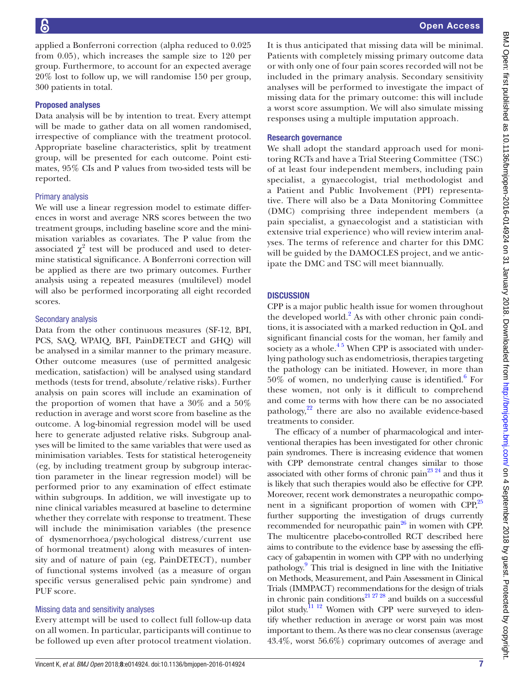applied a Bonferroni correction (alpha reduced to 0.025 from 0.05), which increases the sample size to 120 per group. Furthermore, to account for an expected average 20% lost to follow up, we will randomise 150 per group, 300 patients in total.

#### Proposed analyses

Data analysis will be by intention to treat. Every attempt will be made to gather data on all women randomised, irrespective of compliance with the treatment protocol. Appropriate baseline characteristics, split by treatment group, will be presented for each outcome. Point estimates, 95% CIs and P values from two-sided tests will be reported.

#### Primary analysis

We will use a linear regression model to estimate differences in worst and average NRS scores between the two treatment groups, including baseline score and the minimisation variables as covariates. The P value from the associated  $\chi^2$  test will be produced and used to determine statistical significance. A Bonferroni correction will be applied as there are two primary outcomes. Further analysis using a repeated measures (multilevel) model will also be performed incorporating all eight recorded scores.

#### Secondary analysis

Data from the other continuous measures (SF-12, BPI, PCS, SAQ, WPAIQ, BFI, PainDETECT and GHQ) will be analysed in a similar manner to the primary measure. Other outcome measures (use of permitted analgesic medication, satisfaction) will be analysed using standard methods (tests for trend, absolute/relative risks). Further analysis on pain scores will include an examination of the proportion of women that have a 30% and a 50% reduction in average and worst score from baseline as the outcome. A log-binomial regression model will be used here to generate adjusted relative risks. Subgroup analyses will be limited to the same variables that were used as minimisation variables. Tests for statistical heterogeneity (eg, by including treatment group by subgroup interaction parameter in the linear regression model) will be performed prior to any examination of effect estimate within subgroups. In addition, we will investigate up to nine clinical variables measured at baseline to determine whether they correlate with response to treatment. These will include the minimisation variables (the presence of dysmenorrhoea/psychological distress/current use of hormonal treatment) along with measures of intensity and of nature of pain (eg, PainDETECT), number of functional systems involved (as a measure of organ specific versus generalised pelvic pain syndrome) and PUF score.

#### Missing data and sensitivity analyses

Every attempt will be used to collect full follow-up data on all women. In particular, participants will continue to be followed up even after protocol treatment violation.

It is thus anticipated that missing data will be minimal. Patients with completely missing primary outcome data or with only one of four pain scores recorded will not be included in the primary analysis. Secondary sensitivity analyses will be performed to investigate the impact of missing data for the primary outcome: this will include a worst score assumption. We will also simulate missing responses using a multiple imputation approach.

#### Research governance

We shall adopt the standard approach used for monitoring RCTs and have a Trial Steering Committee (TSC) of at least four independent members, including pain specialist, a gynaecologist, trial methodologist and a Patient and Public Involvement (PPI) representative. There will also be a Data Monitoring Committee (DMC) comprising three independent members (a pain specialist, a gynaecologist and a statistician with extensive trial experience) who will review interim analyses. The terms of reference and charter for this DMC will be guided by the DAMOCLES project, and we anticipate the DMC and TSC will meet biannually.

#### **DISCUSSION**

CPP is a major public health issue for women throughout the developed world.<sup>[2](#page-7-16)</sup> As with other chronic pain conditions, it is associated with a marked reduction in QoL and significant financial costs for the woman, her family and society as a whole. $45$  When CPP is associated with underlying pathology such as endometriosis, therapies targeting the pathology can be initiated. However, in more than  $50\%$  of women, no underlying cause is identified.<sup>6</sup> For these women, not only is it difficult to comprehend and come to terms with how there can be no associated pathology,<sup>22</sup> there are also no available evidence-based treatments to consider.

The efficacy of a number of pharmacological and interventional therapies has been investigated for other chronic pain syndromes. There is increasing evidence that women with CPP demonstrate central changes similar to those associated with other forms of chronic pain $^{23\,24}$  and thus it is likely that such therapies would also be effective for CPP. Moreover, recent work demonstrates a neuropathic component in a significant proportion of women with  $CPP$ ,<sup>25</sup> further supporting the investigation of drugs currently recommended for neuropathic pain $^{26}$  in women with CPP. The multicentre placebo-controlled RCT described here aims to contribute to the evidence base by assessing the efficacy of gabapentin in women with CPP with no underlying pathology.<sup>[9](#page-7-4)</sup> This trial is designed in line with the Initiative on Methods, Measurement, and Pain Assessment in Clinical Trials (IMMPACT) recommendations for the design of trials in chronic pain conditions<sup>21 27</sup> 28 and builds on a successful pilot study.<sup>11 12</sup> Women with CPP were surveyed to identify whether reduction in average or worst pain was most important to them. As there was no clear consensus (average 43.4%, worst 56.6%) coprimary outcomes of average and